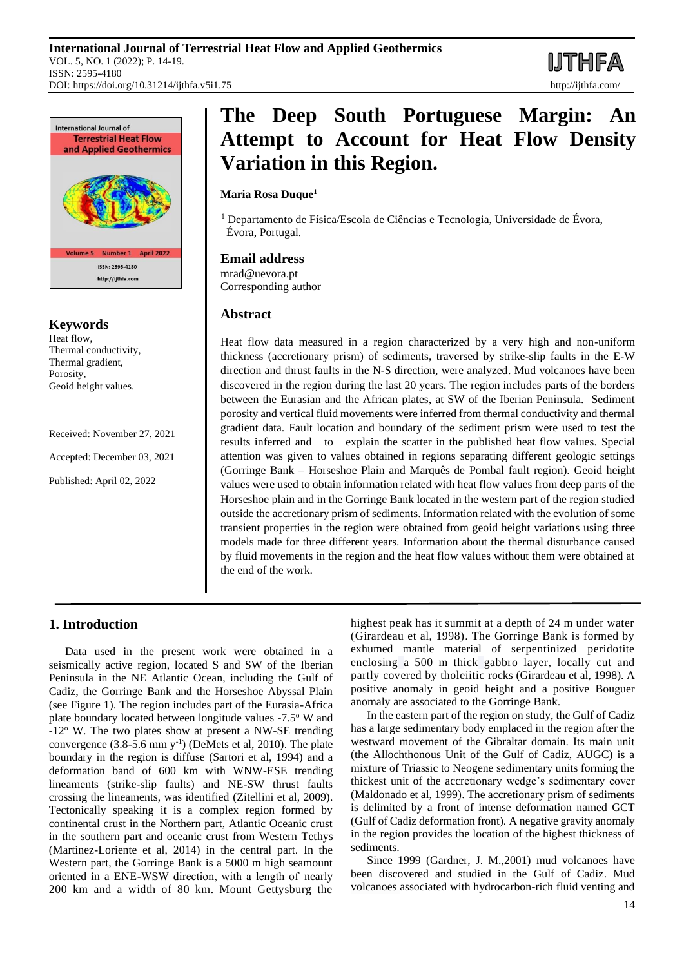

**Keywords**

Heat flow, Thermal conductivity, Thermal gradient, Porosity, Geoid height values.

Received: November 27, 2021

Accepted: December 03, 2021

Published: April 02, 2022

# **The Deep South Portuguese Margin: An Attempt to Account for Heat Flow Density Variation in this Region.**

# **Maria Rosa Duque<sup>1</sup>**

<sup>1</sup> Departamento de Física/Escola de Ciências e Tecnologia, Universidade de Évora, Évora, Portugal.

# **Email address**

mrad@uevora.pt Corresponding author

# **Abstract**

Heat flow data measured in a region characterized by a very high and non-uniform thickness (accretionary prism) of sediments, traversed by strike-slip faults in the E-W direction and thrust faults in the N-S direction, were analyzed. Mud volcanoes have been discovered in the region during the last 20 years. The region includes parts of the borders between the Eurasian and the African plates, at SW of the Iberian Peninsula. Sediment porosity and vertical fluid movements were inferred from thermal conductivity and thermal gradient data. Fault location and boundary of the sediment prism were used to test the results inferred and to explain the scatter in the published heat flow values. Special attention was given to values obtained in regions separating different geologic settings (Gorringe Bank – Horseshoe Plain and Marquês de Pombal fault region). Geoid height values were used to obtain information related with heat flow values from deep parts of the Horseshoe plain and in the Gorringe Bank located in the western part of the region studied outside the accretionary prism of sediments. Information related with the evolution of some transient properties in the region were obtained from geoid height variations using three models made for three different years. Information about the thermal disturbance caused by fluid movements in the region and the heat flow values without them were obtained at the end of the work.

# **1. Introduction**

Data used in the present work were obtained in a seismically active region, located S and SW of the Iberian Peninsula in the NE Atlantic Ocean, including the Gulf of Cadiz, the Gorringe Bank and the Horseshoe Abyssal Plain (see Figure 1). The region includes part of the Eurasia-Africa plate boundary located between longitude values -7.5<sup>o</sup> W and -12<sup>o</sup> W. The two plates show at present a NW-SE trending convergence  $(3.8\n-5.6 \text{ mm y}^{-1})$  (DeMets et al, 2010). The plate boundary in the region is diffuse (Sartori et al, 1994) and a deformation band of 600 km with WNW-ESE trending lineaments (strike-slip faults) and NE-SW thrust faults crossing the lineaments, was identified (Zitellini et al, 2009). Tectonically speaking it is a complex region formed by continental crust in the Northern part, Atlantic Oceanic crust in the southern part and oceanic crust from Western Tethys (Martinez-Loriente et al, 2014) in the central part. In the Western part, the Gorringe Bank is a 5000 m high seamount oriented in a ENE‐WSW direction, with a length of nearly 200 km and a width of 80 km. Mount Gettysburg the

highest peak has it summit at a depth of 24 m under water (Girardeau et al, 1998). The Gorringe Bank is formed by exhumed mantle material of serpentinized peridotite enclosing a 500 m thick gabbro layer, locally cut and partly covered by tholeiitic rocks (Girardeau et al, 1998). A positive anomaly in geoid height and a positive Bouguer anomaly are associated to the Gorringe Bank.

In the eastern part of the region on study, the Gulf of Cadiz has a large sedimentary body emplaced in the region after the westward movement of the Gibraltar domain. Its main unit (the Allochthonous Unit of the Gulf of Cadiz, AUGC) is a mixture of Triassic to Neogene sedimentary units forming the thickest unit of the accretionary wedge's sedimentary cover (Maldonado et al, 1999). The accretionary prism of sediments is delimited by a front of intense deformation named GCT (Gulf of Cadiz deformation front). A negative gravity anomaly in the region provides the location of the highest thickness of sediments.

Since 1999 (Gardner, J. M.,2001) mud volcanoes have been discovered and studied in the Gulf of Cadiz. Mud volcanoes associated with hydrocarbon-rich fluid venting and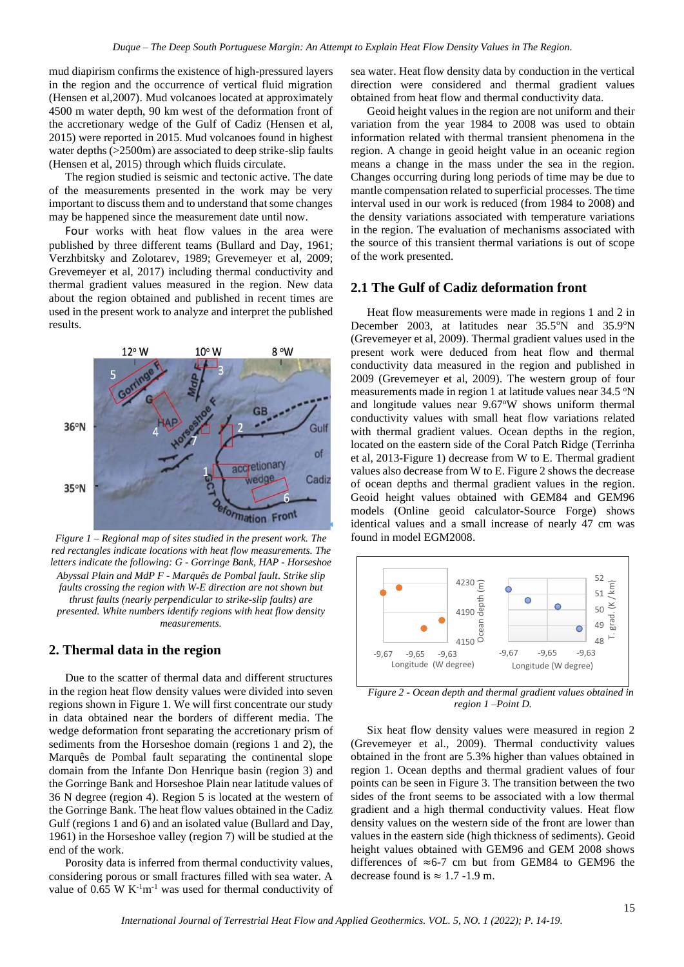mud diapirism confirms the existence of high-pressured layers in the region and the occurrence of vertical fluid migration (Hensen et al,2007). Mud volcanoes located at approximately 4500 m water depth, 90 km west of the deformation front of the accretionary wedge of the Gulf of Cadiz (Hensen et al, 2015) were reported in 2015. Mud volcanoes found in highest water depths (>2500m) are associated to deep strike-slip faults (Hensen et al, 2015) through which fluids circulate.

The region studied is seismic and tectonic active. The date of the measurements presented in the work may be very important to discuss them and to understand that some changes may be happened since the measurement date until now.

Four works with heat flow values in the area were published by three different teams (Bullard and Day, 1961; Verzhbitsky and Zolotarev, 1989; Grevemeyer et al, 2009; Grevemeyer et al, 2017) including thermal conductivity and thermal gradient values measured in the region. New data about the region obtained and published in recent times are used in the present work to analyze and interpret the published results.



*Figure 1 – Regional map of sites studied in the present work. The red rectangles indicate locations with heat flow measurements. The letters indicate the following: G - Gorringe Bank, HAP - Horseshoe Abyssal Plain and MdP F - Marquês de Pombal fault*. *Strike slip faults crossing the region with W-E direction are not shown but thrust faults (nearly perpendicular to strike-slip faults) are presented. White numbers identify regions with heat flow density measurements.*

## **2. Thermal data in the region**

Due to the scatter of thermal data and different structures in the region heat flow density values were divided into seven regions shown in Figure 1. We will first concentrate our study in data obtained near the borders of different media. The wedge deformation front separating the accretionary prism of sediments from the Horseshoe domain (regions 1 and 2), the Marquês de Pombal fault separating the continental slope domain from the Infante Don Henrique basin (region 3) and the Gorringe Bank and Horseshoe Plain near latitude values of 36 N degree (region 4). Region 5 is located at the western of the Gorringe Bank. The heat flow values obtained in the Cadiz Gulf (regions 1 and 6) and an isolated value (Bullard and Day, 1961) in the Horseshoe valley (region 7) will be studied at the end of the work.

Porosity data is inferred from thermal conductivity values, considering porous or small fractures filled with sea water. A value of 0.65 W  $K^{-1}m^{-1}$  was used for thermal conductivity of sea water. Heat flow density data by conduction in the vertical direction were considered and thermal gradient values obtained from heat flow and thermal conductivity data.

Geoid height values in the region are not uniform and their variation from the year 1984 to 2008 was used to obtain information related with thermal transient phenomena in the region. A change in geoid height value in an oceanic region means a change in the mass under the sea in the region. Changes occurring during long periods of time may be due to mantle compensation related to superficial processes. The time interval used in our work is reduced (from 1984 to 2008) and the density variations associated with temperature variations in the region. The evaluation of mechanisms associated with the source of this transient thermal variations is out of scope of the work presented.

## **2.1 The Gulf of Cadiz deformation front**

Heat flow measurements were made in regions 1 and 2 in December 2003, at latitudes near 35.5°N and 35.9°N (Grevemeyer et al, 2009). Thermal gradient values used in the present work were deduced from heat flow and thermal conductivity data measured in the region and published in 2009 (Grevemeyer et al, 2009). The western group of four measurements made in region 1 at latitude values near 34.5 °N and longitude values near 9.67°W shows uniform thermal conductivity values with small heat flow variations related with thermal gradient values. Ocean depths in the region, located on the eastern side of the Coral Patch Ridge (Terrinha et al, 2013-Figure 1) decrease from W to E. Thermal gradient values also decrease from W to E. Figure 2 shows the decrease of ocean depths and thermal gradient values in the region. Geoid height values obtained with GEM84 and GEM96 models (Online geoid calculator-Source Forge) shows identical values and a small increase of nearly 47 cm was found in model EGM2008.



*Figure 2 - Ocean depth and thermal gradient values obtained in region 1 –Point D.*

Six heat flow density values were measured in region 2 (Grevemeyer et al., 2009). Thermal conductivity values obtained in the front are 5.3% higher than values obtained in region 1. Ocean depths and thermal gradient values of four points can be seen in Figure 3. The transition between the two sides of the front seems to be associated with a low thermal gradient and a high thermal conductivity values. Heat flow density values on the western side of the front are lower than values in the eastern side (high thickness of sediments). Geoid height values obtained with GEM96 and GEM 2008 shows differences of  $\approx 6$ -7 cm but from GEM84 to GEM96 the decrease found is  $\approx 1.7$  -1.9 m.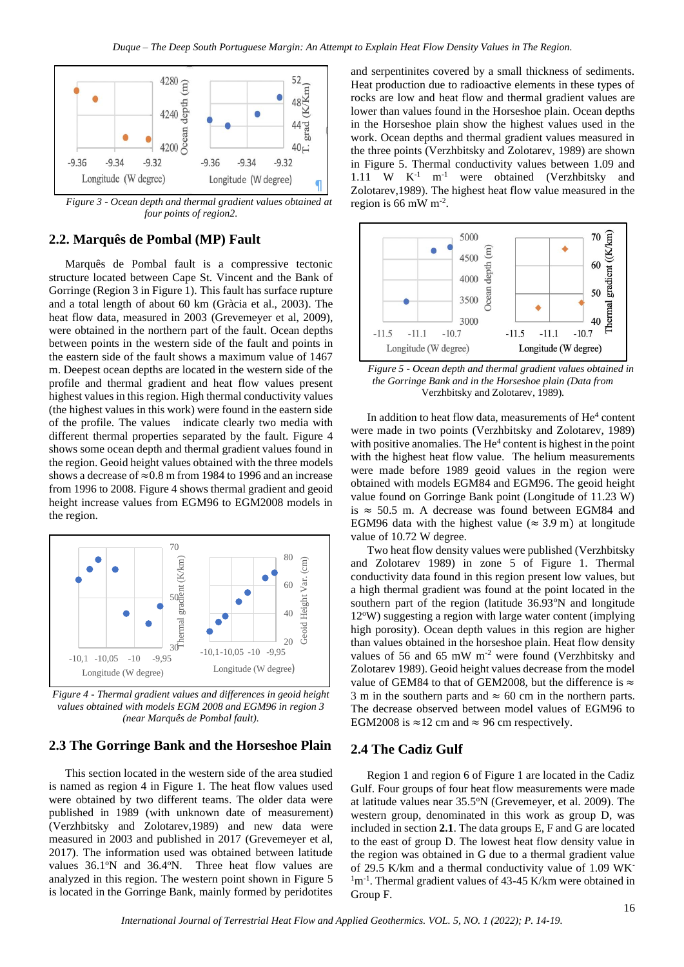

*Figure 3 - Ocean depth and thermal gradient values obtained at four points of region2.*

# **2.2. Marquês de Pombal (MP) Fault**

Marquês de Pombal fault is a compressive tectonic structure located between Cape St. Vincent and the Bank of Gorringe (Region 3 in Figure 1). This fault has surface rupture and a total length of about 60 km (Gràcia et al., 2003). The heat flow data, measured in 2003 (Grevemeyer et al, 2009), were obtained in the northern part of the fault. Ocean depths between points in the western side of the fault and points in the eastern side of the fault shows a maximum value of 1467 m. Deepest ocean depths are located in the western side of the profile and thermal gradient and heat flow values present highest values in this region. High thermal conductivity values (the highest values in this work) were found in the eastern side of the profile. The values indicate clearly two media with different thermal properties separated by the fault. Figure 4 shows some ocean depth and thermal gradient values found in the region. Geoid height values obtained with the three models shows a decrease of  $\approx 0.8$  m from 1984 to 1996 and an increase from 1996 to 2008. Figure 4 shows thermal gradient and geoid height increase values from EGM96 to EGM2008 models in the region.



*Figure 4 - Thermal gradient values and differences in geoid height values obtained with models EGM 2008 and EGM96 in region 3 (near Marquês de Pombal fault).*

# **2.3 The Gorringe Bank and the Horseshoe Plain**

This section located in the western side of the area studied is named as region 4 in Figure 1. The heat flow values used were obtained by two different teams. The older data were published in 1989 (with unknown date of measurement) (Verzhbitsky and Zolotarev,1989) and new data were measured in 2003 and published in 2017 (Grevemeyer et al, 2017). The information used was obtained between latitude values 36.1°N and 36.4°N. Three heat flow values are analyzed in this region. The western point shown in Figure 5 is located in the Gorringe Bank, mainly formed by peridotites

and serpentinites covered by a small thickness of sediments. Heat production due to radioactive elements in these types of rocks are low and heat flow and thermal gradient values are lower than values found in the Horseshoe plain. Ocean depths in the Horseshoe plain show the highest values used in the work. Ocean depths and thermal gradient values measured in the three points (Verzhbitsky and Zolotarev, 1989) are shown in Figure 5. Thermal conductivity values between 1.09 and 1.11 W  $K^{-1}$  m<sup>-1</sup> were obtained (Verzhbitsky and were obtained (Verzhbitsky and Zolotarev,1989). The highest heat flow value measured in the region is 66 mW  $m^{-2}$ .



*Figure 5 - Ocean depth and thermal gradient values obtained in the Gorringe Bank and in the Horseshoe plain (Data from*  Verzhbitsky and Zolotarev, 1989).

In addition to heat flow data, measurements of He<sup>4</sup> content were made in two points (Verzhbitsky and Zolotarev, 1989) with positive anomalies. The He<sup>4</sup> content is highest in the point with the highest heat flow value. The helium measurements were made before 1989 geoid values in the region were obtained with models EGM84 and EGM96. The geoid height value found on Gorringe Bank point (Longitude of 11.23 W) is  $\approx$  50.5 m. A decrease was found between EGM84 and EGM96 data with the highest value ( $\approx$  3.9 m) at longitude value of 10.72 W degree.

Two heat flow density values were published (Verzhbitsky and Zolotarev 1989) in zone 5 of Figure 1. Thermal conductivity data found in this region present low values, but a high thermal gradient was found at the point located in the southern part of the region (latitude 36.93°N and longitude 12°W) suggesting a region with large water content (implying high porosity). Ocean depth values in this region are higher than values obtained in the horseshoe plain. Heat flow density values of 56 and 65 mW m-2 were found (Verzhbitsky and Zolotarev 1989). Geoid height values decrease from the model value of GEM84 to that of GEM2008, but the difference is  $\approx$ 3 m in the southern parts and  $\approx$  60 cm in the northern parts. The decrease observed between model values of EGM96 to EGM2008 is  $\approx$  12 cm and  $\approx$  96 cm respectively.

## **2.4 The Cadiz Gulf**

Region 1 and region 6 of Figure 1 are located in the Cadiz Gulf. Four groups of four heat flow measurements were made at latitude values near 35.5<sup>o</sup>N (Grevemeyer, et al. 2009). The western group, denominated in this work as group D, was included in section **2.1**. The data groups E, F and G are located to the east of group D. The lowest heat flow density value in the region was obtained in G due to a thermal gradient value of 29.5 K/km and a thermal conductivity value of 1.09 WK-<sup>1</sup>m<sup>-1</sup>. Thermal gradient values of 43-45 K/km were obtained in Group F.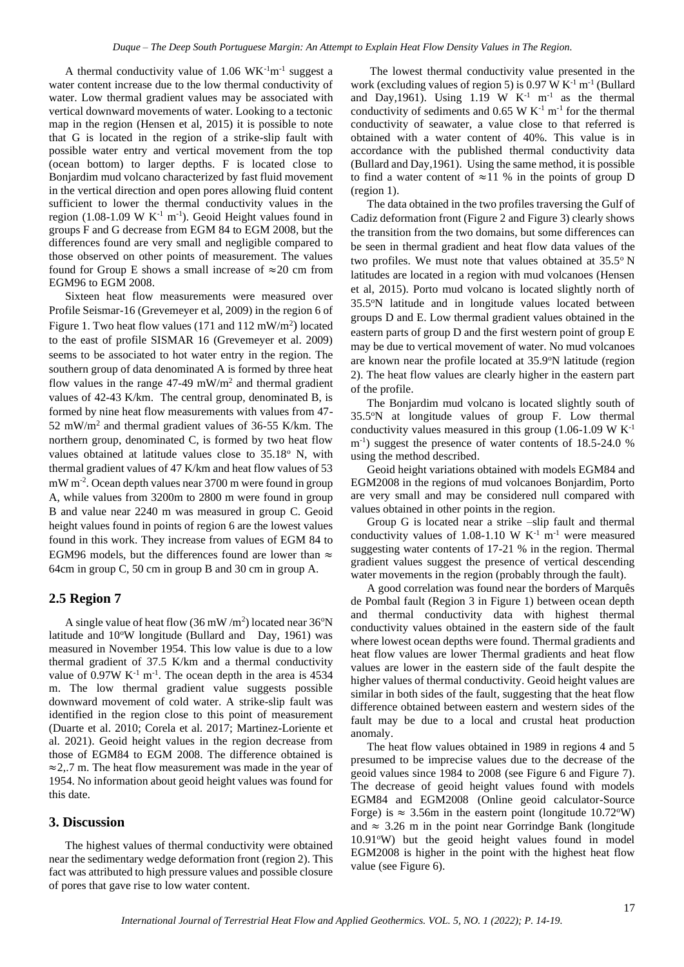A thermal conductivity value of  $1.06$  WK $^{-1}$ m $^{-1}$  suggest a water content increase due to the low thermal conductivity of water. Low thermal gradient values may be associated with vertical downward movements of water. Looking to a tectonic map in the region (Hensen et al, 2015) it is possible to note that G is located in the region of a strike-slip fault with possible water entry and vertical movement from the top (ocean bottom) to larger depths. F is located close to Bonjardim mud volcano characterized by fast fluid movement in the vertical direction and open pores allowing fluid content sufficient to lower the thermal conductivity values in the region  $(1.08-1.09 \text{ W K}^{-1} \text{ m}^{-1})$ . Geoid Height values found in groups F and G decrease from EGM 84 to EGM 2008, but the differences found are very small and negligible compared to those observed on other points of measurement. The values found for Group E shows a small increase of  $\approx 20$  cm from EGM96 to EGM 2008.

Sixteen heat flow measurements were measured over Profile Seismar-16 (Grevemeyer et al, 2009) in the region 6 of Figure 1. Two heat flow values  $(171$  and  $112$  mW/m<sup>2</sup>) located to the east of profile SISMAR 16 (Grevemeyer et al. 2009) seems to be associated to hot water entry in the region. The southern group of data denominated A is formed by three heat flow values in the range  $47-49$  mW/m<sup>2</sup> and thermal gradient values of 42-43 K/km. The central group, denominated B, is formed by nine heat flow measurements with values from 47- 52 mW/m<sup>2</sup> and thermal gradient values of 36-55 K/km. The northern group, denominated C, is formed by two heat flow values obtained at latitude values close to 35.18° N, with thermal gradient values of 47 K/km and heat flow values of 53 mW m-2 . Ocean depth values near 3700 m were found in group A, while values from 3200m to 2800 m were found in group B and value near 2240 m was measured in group C. Geoid height values found in points of region 6 are the lowest values found in this work. They increase from values of EGM 84 to EGM96 models, but the differences found are lower than  $\approx$ 64cm in group C, 50 cm in group B and 30 cm in group A.

#### **2.5 Region 7**

A single value of heat flow  $(36 \text{ mW/m}^2)$  located near  $36^\circ\text{N}$ latitude and  $10^{\circ}$ W longitude (Bullard and Day, 1961) was measured in November 1954. This low value is due to a low thermal gradient of 37.5 K/km and a thermal conductivity value of  $0.97W K^{-1} m^{-1}$ . The ocean depth in the area is 4534 m. The low thermal gradient value suggests possible downward movement of cold water. A strike-slip fault was identified in the region close to this point of measurement (Duarte et al. 2010; Corela et al. 2017; Martinez-Loriente et al. 2021). Geoid height values in the region decrease from those of EGM84 to EGM 2008. The difference obtained is ≈2,.7 m. The heat flow measurement was made in the year of 1954. No information about geoid height values was found for this date.

# **3. Discussion**

The highest values of thermal conductivity were obtained near the sedimentary wedge deformation front (region 2). This fact was attributed to high pressure values and possible closure of pores that gave rise to low water content.

The lowest thermal conductivity value presented in the work (excluding values of region 5) is  $0.97 \text{ W K}^{-1} \text{ m}^{-1}$  (Bullard and Day, 1961). Using 1.19 W  $K<sup>-1</sup>$  m<sup>-1</sup> as the thermal conductivity of sediments and  $0.65 \text{ W K}^{-1} \text{ m}^{-1}$  for the thermal conductivity of seawater, a value close to that referred is obtained with a water content of 40%. This value is in accordance with the published thermal conductivity data (Bullard and Day,1961). Using the same method, it is possible to find a water content of  $\approx$ 11 % in the points of group D (region 1).

The data obtained in the two profiles traversing the Gulf of Cadiz deformation front (Figure 2 and Figure 3) clearly shows the transition from the two domains, but some differences can be seen in thermal gradient and heat flow data values of the two profiles. We must note that values obtained at  $35.5^{\circ}$  N latitudes are located in a region with mud volcanoes (Hensen et al, 2015). Porto mud volcano is located slightly north of 35.5<sup>o</sup>N latitude and in longitude values located between groups D and E. Low thermal gradient values obtained in the eastern parts of group D and the first western point of group E may be due to vertical movement of water. No mud volcanoes are known near the profile located at 35.9°N latitude (region 2). The heat flow values are clearly higher in the eastern part of the profile.

The Bonjardim mud volcano is located slightly south of 35.5<sup>o</sup>N at longitude values of group F. Low thermal conductivity values measured in this group  $(1.06-1.09 \text{ W K}^{-1})$ m<sup>-1</sup>) suggest the presence of water contents of 18.5-24.0 % using the method described.

Geoid height variations obtained with models EGM84 and EGM2008 in the regions of mud volcanoes Bonjardim, Porto are very small and may be considered null compared with values obtained in other points in the region.

Group G is located near a strike –slip fault and thermal conductivity values of 1.08-1.10 W  $K^{-1}$  m<sup>-1</sup> were measured suggesting water contents of 17-21 % in the region. Thermal gradient values suggest the presence of vertical descending water movements in the region (probably through the fault).

A good correlation was found near the borders of Marquês de Pombal fault (Region 3 in Figure 1) between ocean depth and thermal conductivity data with highest thermal conductivity values obtained in the eastern side of the fault where lowest ocean depths were found. Thermal gradients and heat flow values are lower Thermal gradients and heat flow values are lower in the eastern side of the fault despite the higher values of thermal conductivity. Geoid height values are similar in both sides of the fault, suggesting that the heat flow difference obtained between eastern and western sides of the fault may be due to a local and crustal heat production anomaly.

The heat flow values obtained in 1989 in regions 4 and 5 presumed to be imprecise values due to the decrease of the geoid values since 1984 to 2008 (see Figure 6 and Figure 7). The decrease of geoid height values found with models EGM84 and EGM2008 (Online geoid calculator-Source Forge) is  $\approx 3.56$ m in the eastern point (longitude 10.72°W) and  $\approx$  3.26 m in the point near Gorrindge Bank (longitude 10.91°W) but the geoid height values found in model EGM2008 is higher in the point with the highest heat flow value (see Figure 6).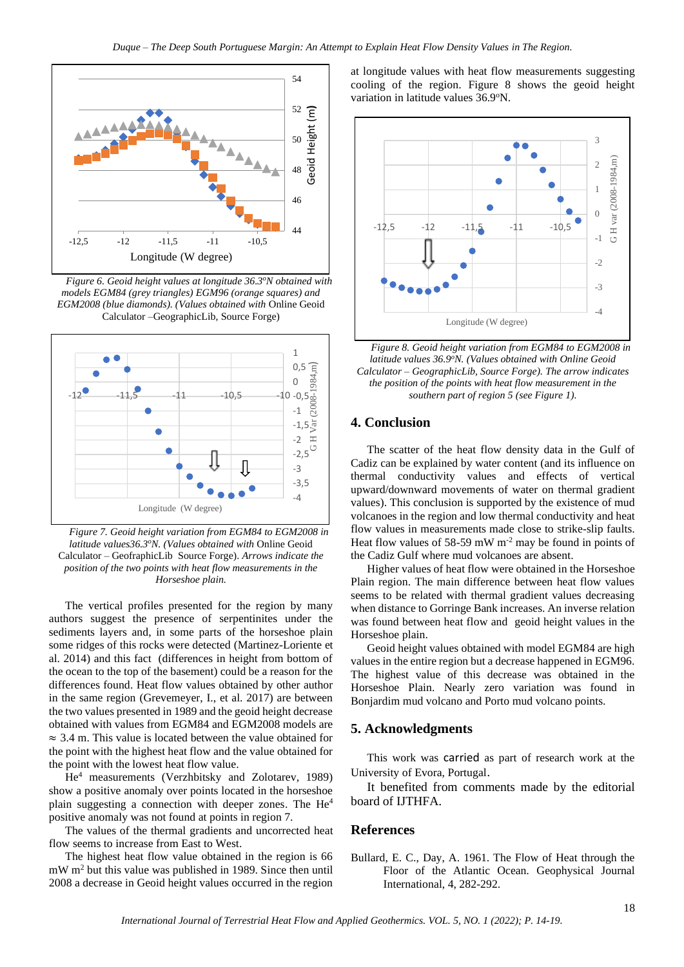

*Figure 6. Geoid height values at longitude 36.3<sup>o</sup>N obtained with models EGM84 (grey triangles) EGM96 (orange squares) and EGM2008 (blue diamonds). (Values obtained with* Online Geoid Calculator –GeographicLib, Source Forge)



*Figure 7. Geoid height variation from EGM84 to EGM2008 in latitude values36.3<sup>o</sup>N. (Values obtained with* Online Geoid Calculator – GeofraphicLib Source Forge). *Arrows indicate the position of the two points with heat flow measurements in the Horseshoe plain.*

The vertical profiles presented for the region by many authors suggest the presence of serpentinites under the sediments layers and, in some parts of the horseshoe plain some ridges of this rocks were detected (Martinez-Loriente et al. 2014) and this fact (differences in height from bottom of the ocean to the top of the basement) could be a reason for the differences found. Heat flow values obtained by other author in the same region (Grevemeyer, I., et al. 2017) are between the two values presented in 1989 and the geoid height decrease obtained with values from EGM84 and EGM2008 models are  $\approx$  3.4 m. This value is located between the value obtained for the point with the highest heat flow and the value obtained for the point with the lowest heat flow value.

He<sup>4</sup> measurements (Verzhbitsky and Zolotarev, 1989) show a positive anomaly over points located in the horseshoe plain suggesting a connection with deeper zones. The He<sup>4</sup> positive anomaly was not found at points in region 7.

The values of the thermal gradients and uncorrected heat flow seems to increase from East to West.

The highest heat flow value obtained in the region is 66  $mW m<sup>2</sup>$  but this value was published in 1989. Since then until 2008 a decrease in Geoid height values occurred in the region

at longitude values with heat flow measurements suggesting cooling of the region. Figure 8 shows the geoid height variation in latitude values 36.9°N.



*Figure 8. Geoid height variation from EGM84 to EGM2008 in latitude values 36.9<sup>o</sup>N. (Values obtained with Online Geoid Calculator – GeographicLib, Source Forge). The arrow indicates the position of the points with heat flow measurement in the southern part of region 5 (see Figure 1).*

# **4. Conclusion**

The scatter of the heat flow density data in the Gulf of Cadiz can be explained by water content (and its influence on thermal conductivity values and effects of vertical upward/downward movements of water on thermal gradient values). This conclusion is supported by the existence of mud volcanoes in the region and low thermal conductivity and heat flow values in measurements made close to strike-slip faults. Heat flow values of  $58-59$  mW m<sup>-2</sup> may be found in points of the Cadiz Gulf where mud volcanoes are absent.

Higher values of heat flow were obtained in the Horseshoe Plain region. The main difference between heat flow values seems to be related with thermal gradient values decreasing when distance to Gorringe Bank increases. An inverse relation was found between heat flow and geoid height values in the Horseshoe plain.

Geoid height values obtained with model EGM84 are high values in the entire region but a decrease happened in EGM96. The highest value of this decrease was obtained in the Horseshoe Plain. Nearly zero variation was found in Bonjardim mud volcano and Porto mud volcano points.

### **5. Acknowledgments**

This work was carried as part of research work at the University of Evora, Portugal.

It benefited from comments made by the editorial board of IJTHFA.

#### **References**

Bullard, E. C., Day, A. 1961. The Flow of Heat through the Floor of the Atlantic Ocean*.* Geophysical Journal International, 4, 282-292.